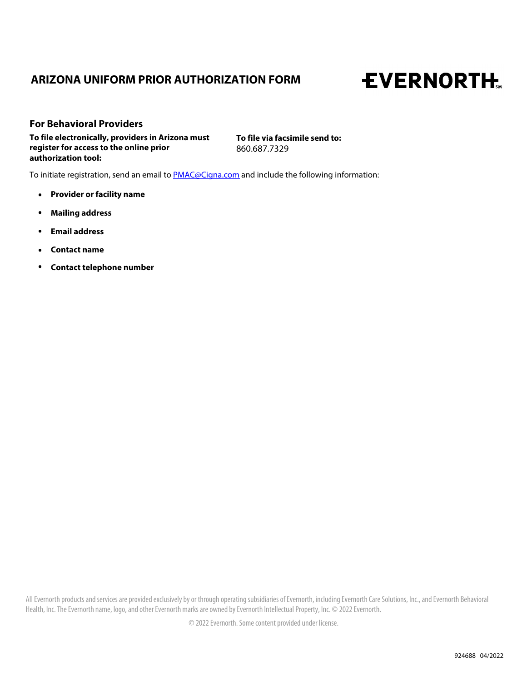# **ARIZONA UNIFORM PRIOR AUTHORIZATION FORM**

# **EVERNORTH.**

**To file electronically, providers in Arizona must register for access to the online prior authorization tool: For Behavioral Providers**

**To file via facsimile send to:**  860.687.7329

To initiate registration, send an email to **PMAC@Cigna.com** and include the following information:

- **. Provider or facility name**
- **. Mailing address**
- **. Email address**
- **. Contact name**
- **. Contact telephone number**

All Evernorth products and services are provided exclusively by or through operating subsidiaries of Evernorth, including Evernorth Care Solutions, Inc., and Evernorth Behavioral Health, Inc. The Evernorth name, logo, and other Evernorth marks are owned by Evernorth Intellectual Property, Inc. © 2022 Evernorth.

© 2022 Evernorth. Some content provided under license.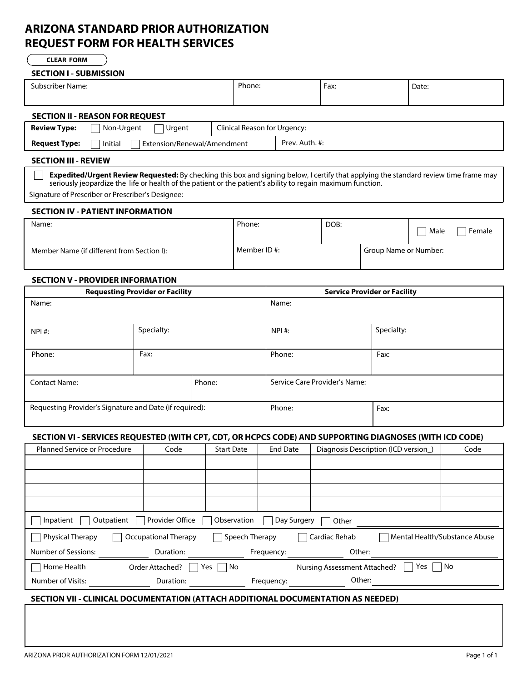# **ARIZONA STANDARD PRIOR AUTHORIZATION REQUEST FORM FOR HEALTH SERVICES**

**CLEAR FORM**

#### **SECTION I - SUBMISSION**

| Subscriber Name:                                                                                                                                                                                                                                     | Phone:                       | Fax: | Date: |  |  |  |
|------------------------------------------------------------------------------------------------------------------------------------------------------------------------------------------------------------------------------------------------------|------------------------------|------|-------|--|--|--|
|                                                                                                                                                                                                                                                      |                              |      |       |  |  |  |
| <b>SECTION II - REASON FOR REQUEST</b>                                                                                                                                                                                                               |                              |      |       |  |  |  |
| <b>Review Type:</b><br>Non-Urgent<br>Urgent                                                                                                                                                                                                          | Clinical Reason for Urgency: |      |       |  |  |  |
| Initial<br>Extension/Renewal/Amendment<br><b>Request Type:</b>                                                                                                                                                                                       | Prev. Auth. #:               |      |       |  |  |  |
| <b>SECTION III - REVIEW</b>                                                                                                                                                                                                                          |                              |      |       |  |  |  |
| Expedited/Urgent Review Requested: By checking this box and signing below, I certify that applying the standard review time frame may<br>seriously jeopardize the life or health of the patient or the patient's ability to regain maximum function. |                              |      |       |  |  |  |

Signature of Prescriber or Prescriber's Designee:

# **SECTION IV - PATIENT INFORMATION**

| Name:                                      | Phone:      | DOB: |                       | Male | Female |
|--------------------------------------------|-------------|------|-----------------------|------|--------|
| Member Name (if different from Section I): | Member ID#: |      | Group Name or Number: |      |        |

# **SECTION V - PROVIDER INFORMATION**

| <b>Requesting Provider or Facility</b>                  |            |        | <b>Service Provider or Facility</b> |            |  |
|---------------------------------------------------------|------------|--------|-------------------------------------|------------|--|
| Name:                                                   |            |        | Name:                               |            |  |
|                                                         |            |        |                                     |            |  |
| NPI #:                                                  | Specialty: |        | NPI #:                              | Specialty: |  |
|                                                         |            |        |                                     |            |  |
| Phone:                                                  | Fax:       |        | Phone:                              | Fax:       |  |
|                                                         |            |        |                                     |            |  |
| <b>Contact Name:</b>                                    |            | Phone: | Service Care Provider's Name:       |            |  |
|                                                         |            |        |                                     |            |  |
| Requesting Provider's Signature and Date (if required): |            | Phone: | Fax:                                |            |  |
|                                                         |            |        |                                     |            |  |

## **SECTION VI - SERVICES REQUESTED (WITH CPT, CDT, OR HCPCS CODE) AND SUPPORTING DIAGNOSES (WITH ICD CODE)**

| <b>Planned Service or Procedure</b>                                                                            | Code                                                                 | <b>Start Date</b> | <b>End Date</b> |                                     | Diagnosis Description (ICD version) | Code |  |  |
|----------------------------------------------------------------------------------------------------------------|----------------------------------------------------------------------|-------------------|-----------------|-------------------------------------|-------------------------------------|------|--|--|
|                                                                                                                |                                                                      |                   |                 |                                     |                                     |      |  |  |
|                                                                                                                |                                                                      |                   |                 |                                     |                                     |      |  |  |
|                                                                                                                |                                                                      |                   |                 |                                     |                                     |      |  |  |
|                                                                                                                |                                                                      |                   |                 |                                     |                                     |      |  |  |
| Inpatient                                                                                                      | Provider Office<br>Observation<br>Outpatient<br>Day Surgery<br>Other |                   |                 |                                     |                                     |      |  |  |
| Cardiac Rehab<br>Speech Therapy<br>Occupational Therapy<br>Physical Therapy<br>  Mental Health/Substance Abuse |                                                                      |                   |                 |                                     |                                     |      |  |  |
| Number of Sessions:                                                                                            | Duration:                                                            |                   | Frequency:      | Other:                              |                                     |      |  |  |
| Home Health                                                                                                    | Order Attached?                                                      | No<br>Yes         |                 | <b>Nursing Assessment Attached?</b> | Yes                                 | No   |  |  |
| Number of Visits:                                                                                              | Duration:                                                            |                   | Frequency:      | Other:                              |                                     |      |  |  |

## **SECTION VII - CLINICAL DOCUMENTATION (ATTACH ADDITIONAL DOCUMENTATION AS NEEDED)**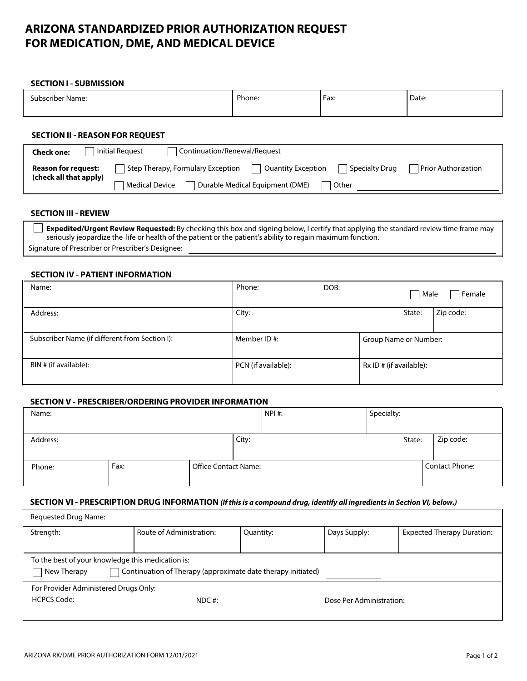# **ARIZONA STANDARDIZED PRIOR AUTHORIZATION REQUEST FOR MEDICATION, DME, AND MEDICAL DEVICE**

#### **SECTION I - SUBMISSION**

| Subscriber Name:                                                                                                                                                                                                                            |  | Phone: | Fax: | Date: |  |  |
|---------------------------------------------------------------------------------------------------------------------------------------------------------------------------------------------------------------------------------------------|--|--------|------|-------|--|--|
| <b>SECTION II - REASON FOR REQUEST</b>                                                                                                                                                                                                      |  |        |      |       |  |  |
| <b>Initial Request</b><br>Continuation/Renewal/Request<br><b>Check one:</b>                                                                                                                                                                 |  |        |      |       |  |  |
| <b>Prior Authorization</b><br>Step Therapy, Formulary Exception<br>Specialty Drug<br><b>Quantity Exception</b><br><b>Reason for request:</b><br>(check all that apply)<br>Durable Medical Equipment (DME)<br><b>Medical Device</b><br>Other |  |        |      |       |  |  |
|                                                                                                                                                                                                                                             |  |        |      |       |  |  |

## **SECTION III - REVIEW**

**Expedited/Urgent Review Requested:** By checking this box and signing below, I certify that applying the standard review time frame may seriously jeopardize the life or health of the patient or the patient's ability to regain maximum function. Signature of Prescriber or Prescriber's Designee:

#### **SECTION IV - PATIENT INFORMATION**

| Name:                                          | Phone:              | DOB: |                         | Male   | Female    |
|------------------------------------------------|---------------------|------|-------------------------|--------|-----------|
| Address:                                       | City:               |      |                         | State: | Zip code: |
| Subscriber Name (if different from Section I): | Member ID#:         |      | Group Name or Number:   |        |           |
| BIN # (if available):                          | PCN (if available): |      | Rx ID # (if available): |        |           |

#### **SECTION V - PRESCRIBER/ORDERING PROVIDER INFORMATION**

| Name:    |      |                             |       | $NPI$ #: | Specialty: |        |                       |
|----------|------|-----------------------------|-------|----------|------------|--------|-----------------------|
|          |      |                             |       |          |            |        |                       |
| Address: |      |                             | City: |          |            | State: | Zip code:             |
|          |      |                             |       |          |            |        |                       |
| Phone:   | Fax: | <b>Office Contact Name:</b> |       |          |            |        | <b>Contact Phone:</b> |
|          |      |                             |       |          |            |        |                       |

#### **SECTION VI - PRESCRIPTION DRUG INFORMATION** *(If this is a compound drug, identify all ingredients in Section VI, below.)*

| Requested Drug Name:                              |                                                              |           |                          |                                   |  |  |  |  |
|---------------------------------------------------|--------------------------------------------------------------|-----------|--------------------------|-----------------------------------|--|--|--|--|
| Strength:                                         | Route of Administration:                                     | Quantity: | Days Supply:             | <b>Expected Therapy Duration:</b> |  |  |  |  |
|                                                   |                                                              |           |                          |                                   |  |  |  |  |
| To the best of your knowledge this medication is: |                                                              |           |                          |                                   |  |  |  |  |
| New Therapy                                       | Continuation of Therapy (approximate date therapy initiated) |           |                          |                                   |  |  |  |  |
| For Provider Administered Drugs Only:             |                                                              |           |                          |                                   |  |  |  |  |
| <b>HCPCS Code:</b><br>$NDC$ #:                    |                                                              |           | Dose Per Administration: |                                   |  |  |  |  |
|                                                   |                                                              |           |                          |                                   |  |  |  |  |